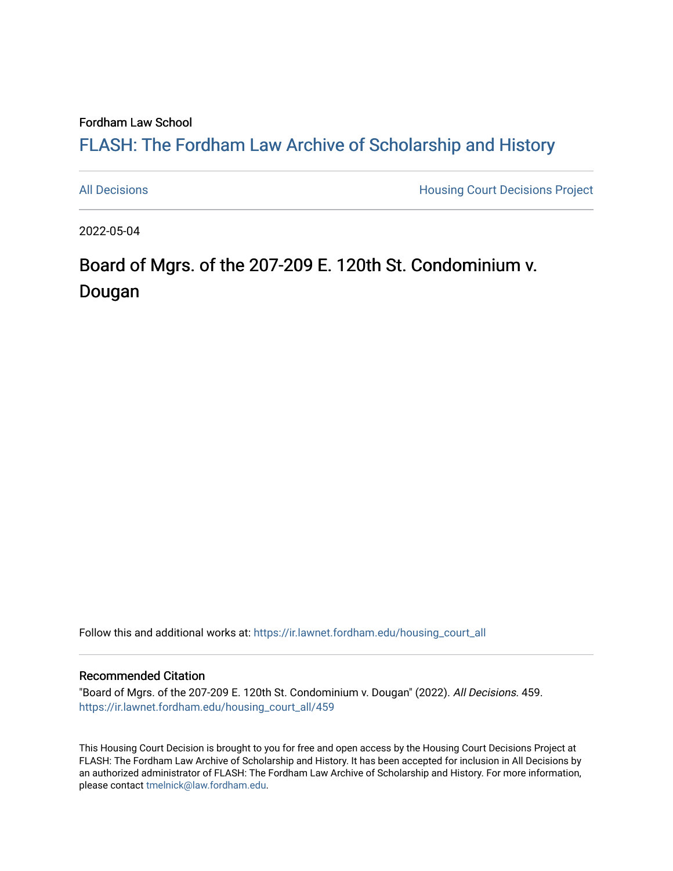## Fordham Law School

## FLASH: The For[dham Law Archive of Scholarship and Hist](https://ir.lawnet.fordham.edu/)ory

[All Decisions](https://ir.lawnet.fordham.edu/housing_court_all) **All Decisions All Decisions** Project

2022-05-04

# Board of Mgrs. of the 207-209 E. 120th St. Condominium v. Dougan

Follow this and additional works at: [https://ir.lawnet.fordham.edu/housing\\_court\\_all](https://ir.lawnet.fordham.edu/housing_court_all?utm_source=ir.lawnet.fordham.edu%2Fhousing_court_all%2F459&utm_medium=PDF&utm_campaign=PDFCoverPages)

#### Recommended Citation

"Board of Mgrs. of the 207-209 E. 120th St. Condominium v. Dougan" (2022). All Decisions. 459. [https://ir.lawnet.fordham.edu/housing\\_court\\_all/459](https://ir.lawnet.fordham.edu/housing_court_all/459?utm_source=ir.lawnet.fordham.edu%2Fhousing_court_all%2F459&utm_medium=PDF&utm_campaign=PDFCoverPages)

This Housing Court Decision is brought to you for free and open access by the Housing Court Decisions Project at FLASH: The Fordham Law Archive of Scholarship and History. It has been accepted for inclusion in All Decisions by an authorized administrator of FLASH: The Fordham Law Archive of Scholarship and History. For more information, please contact [tmelnick@law.fordham.edu](mailto:tmelnick@law.fordham.edu).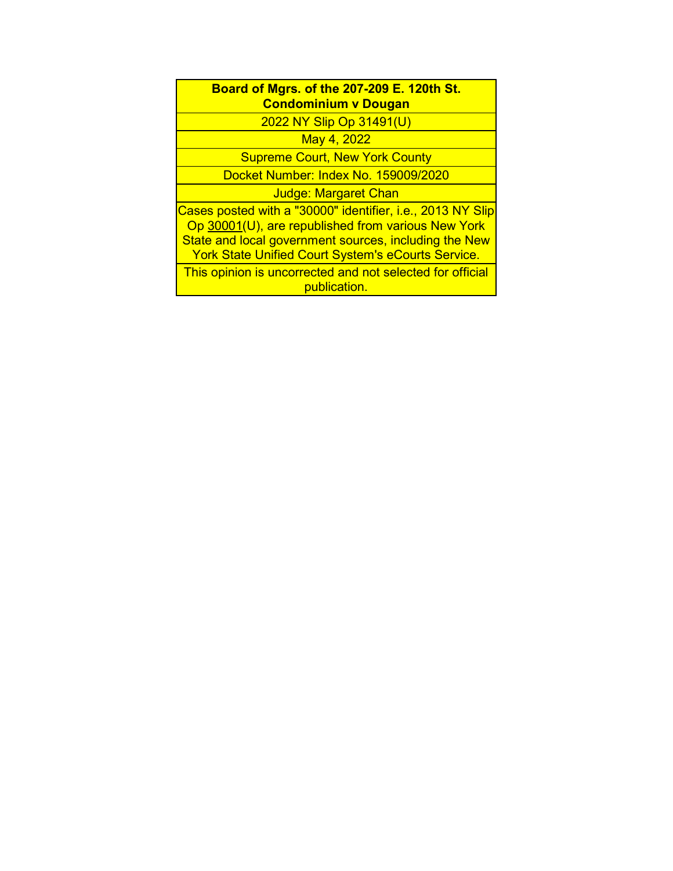## **Board of Mgrs. of the 207-209 E. 120th St. Condominium v Dougan**

2022 NY Slip Op 31491(U)

May 4, 2022

Supreme Court, New York County

Docket Number: Index No. 159009/2020

Judge: Margaret Chan

Cases posted with a "30000" identifier, i.e., 2013 NY Slip Op 30001(U), are republished from various New York State and local government sources, including the New York State Unified Court System's eCourts Service.

This opinion is uncorrected and not selected for official publication.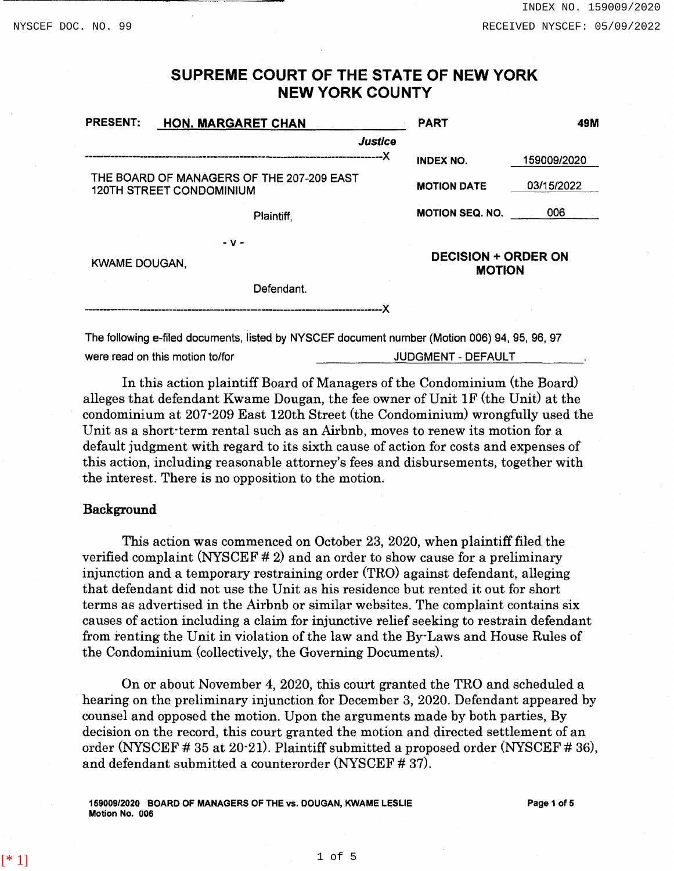## SUPREME COURT OF THE STATE OF NEW YORK NEW YORK COUNTY

| <b>PRESENT:</b>                                                              | <b>HON. MARGARET CHAN</b>                                                                     | <b>PART</b>                                 | 49M         |
|------------------------------------------------------------------------------|-----------------------------------------------------------------------------------------------|---------------------------------------------|-------------|
|                                                                              | Justice                                                                                       |                                             |             |
|                                                                              |                                                                                               | <b>INDEX NO.</b>                            | 159009/2020 |
| THE BOARD OF MANAGERS OF THE 207-209 EAST<br><b>120TH STREET CONDOMINIUM</b> |                                                                                               | <b>MOTION DATE</b>                          | 03/15/2022  |
|                                                                              | Plaintiff.                                                                                    | <b>MOTION SEQ. NO.</b>                      | 006         |
|                                                                              | - v -                                                                                         |                                             |             |
| <b>KWAME DOUGAN,</b>                                                         |                                                                                               | <b>DECISION + ORDER ON</b><br><b>MOTION</b> |             |
|                                                                              | Defendant.                                                                                    |                                             |             |
|                                                                              |                                                                                               |                                             |             |
|                                                                              | The following e-filed documents, listed by NYSCEF document number (Motion 006) 94, 95, 96, 97 |                                             |             |

were read on this motion to/for **JUDGMENT** - DEFAULT

In this action plaintiff Board of Managers of the Condominium (the Board) alleges that defendant Kwame Dougan, the fee owner of Unit IF (the Unit) at the condominium at 207·209 East 120th Street (the Condominium) wrongfully used the Unit as a short·term rental such as an Airbnb, moves to renew its motion for a default judgment with regard to its sixth cause of action for costs and expenses of this action, including reasonable attorney's fees and disbursements, together with the interest. There is no opposition to the motion.

## Background

This action was commenced on October 23, 2020, when plaintiff filed the verified complaint (NYSCEF # 2) and an order to show cause for a preliminary injunction and a temporary restraining order (TRO) against defendant, alleging that defendant did not use the Unit as his residence but rented it out for short terms as advertised in the Airbnb or similar websites. The complaint contains six causes of action including a claim for injunctive relief seeking to restrain defendant from renting the Unit in violation of the law and the By· Laws and House Rules of the Condominium (collectively, the Governing Documents).

On or about November 4, 2020, this court granted the TRO and scheduled a hearing on the preliminary injunction for December 3, 2020. Defendant appeared by counsel and opposed the motion. Upon the arguments made by both parties, By decision on the record, this court granted the motion and directed settlement of an order (NYSCEF # 35 at 20·21). Plaintiff submitted a proposed order (NYSCEF # 36), and defendant submitted a counterorder (NYSCEF # 37).

159009/2020 BOARD OF MANAGERS OF THE vs. DOUGAN, KWAME LESLIE Motion No. 006

Page 1 of 5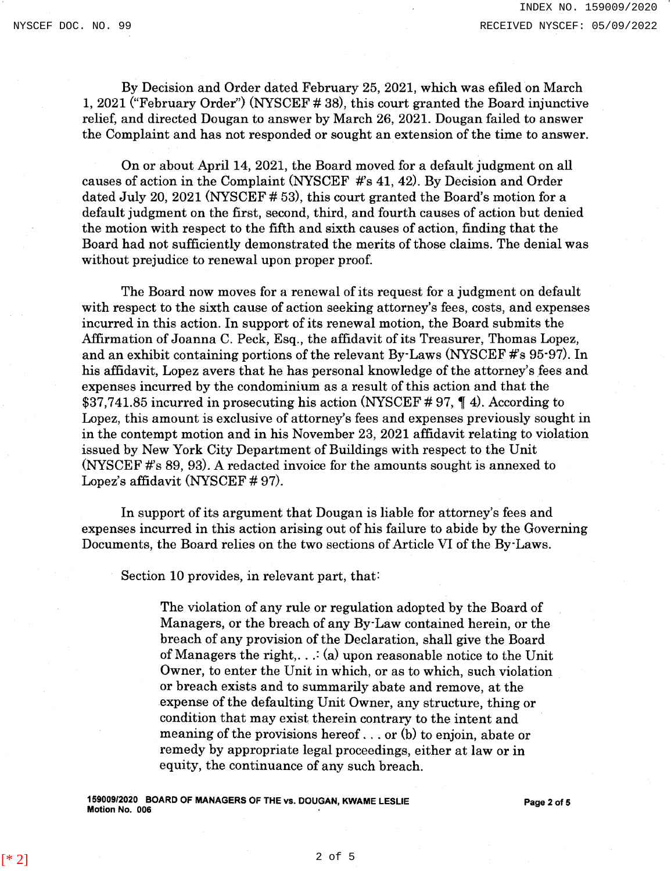By Decision and Order dated February 25, 2021, which was efiled on March 1, 2021 ("February Order'') (NYSCEF # 38), this court granted the Board injunctive relief, and directed Dougan to answer by March 26, 2021. Dougan failed to answer the Complaint and has not responded or sought an extension of the time to answer.

On or about April 14, 2021, the Board moved for a default judgment on all causes of action in the Complaint (NYSCEF #'s 41, 42). By Decision and Order dated July 20, 2021 (NYSCEF # 53), this court granted the Board's motion for a default judgment on the first, second, third, and fourth causes of action but denied the motion with respect to the fifth and sixth causes of action, finding that the Board had not sufficiently demonstrated the merits of those claims. The denial was without prejudice to renewal upon proper proof.

The Board now moves for a renewal of its request for a judgment on default with respect to the sixth cause of action seeking attorney's fees, costs, and expenses incurred in this action. In support of its renewal motion, the Board submits the Affirmation of Joanna C. Peck, Esq., the affidavit of its Treasurer, Thomas Lopez, and an exhibit containing portions of the relevant By-Laws (NYSCEF  $\#s$  95-97). In his affidavit, Lopez avers that he has personal knowledge of the attorney's fees and expenses incurred by the condominium as a result of this action and that the \$37,741.85 incurred in prosecuting his action (NYSCEF #97,  $\parallel$  4). According to Lopez, this amount is exclusive of attorney's fees and expenses previously sought in in the contempt motion and in his November 23, 2021 affidavit relating to violation issued by New York City Department of Buildings with respect to the Unit (NYSCEF  $\#s$  89, 93). A redacted invoice for the amounts sought is annexed to Lopez's affidavit (NYSCEF # 97).

In support of its argument that Dougan is liable for attorney's fees and expenses incurred in this action arising out of his failure to abide by the Governing Documents, the Board relies on the two sections of Article VI of the By-Laws.

Section 10 provides, in relevant part, that:

The violation of any rule or regulation adopted by the Board of Managers, or the breach of any By· Law contained herein, or the breach of any provision of the Declaration, shall give the Board of Managers the right,  $\ldots$ : (a) upon reasonable notice to the Unit Owner, to enter the Unit in which, or as to which, such violation or breach exists and to summarily abate and remove, at the expense of the defaulting Unit Owner, any structure, thing or condition that may exist therein contrary to the intent and meaning of the provisions hereof ... or (b) to enjoin, abate or remedy by appropriate legal proceedings, either at law or in equity, the continuance of any such breach.

15900912020 BOARD OF MANAGERS OF THE vs. DOUGAN, KWAME LESLIE Motion No. 006 Page 2 of 5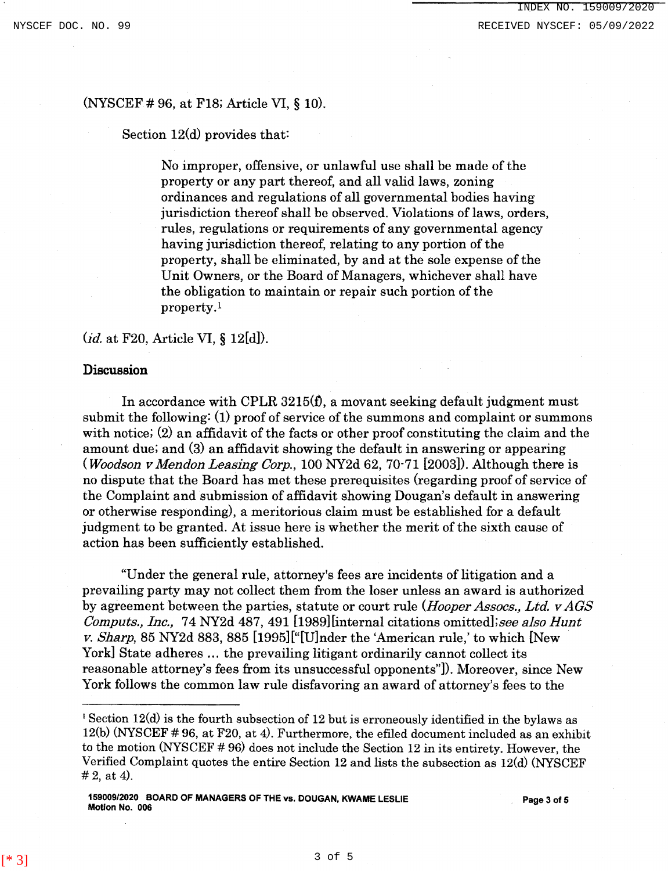## (NYSCEF # 96, at FlS; Article VI, § 10).

Section 12(d) provides that:

No improper, offensive, or unlawful use shall be made of the property or any part thereof, and all valid laws, zoning ordinances and regulations of all governmental bodies having jurisdiction thereof shall be observed. Violations of laws, orders, rules, regulations or requirements of any governmental agency having jurisdiction thereof, relating to any portion of the property, shall be eliminated, by and at the sole expense of the Unit Owners, or the Board of Managers, whichever shall have the obligation to maintain or repair such portion of the property.1

*(id.* at F20, Article VI, § 12[d]).

#### Discussion

In accordance with CPLR  $3215(f)$ , a movant seeking default judgment must submit the following:  $(1)$  proof of service of the summons and complaint or summons with notice; (2) an affidavit of the facts or other proof constituting the claim and the amount due; and (3) an affidavit showing the default in answering or appearing *(Woodson v Mendon Leasing Corp.,* 100 NY2d 62, 70·71 [2003]). Although there is no dispute that the Board has met these prerequisites (regarding proof of service of the Complaint and submission of affidavit showing Dougan's default in answering or otherwise responding), a meritorious claim must be established for a default judgment to be granted. At issue here is whether the merit of the sixth cause of action has been sufficiently established.

"Under the general rule, attorney's fees are incidents of litigation and a prevailing party may not collect them from the loser unless an award is authorized by agreement between the parties, statute or court rule *(Hooper Assocs., Ltd. v AGS Computs., Inc.,* 74 NY2d 487, 491 [1989][internal citations omitted];see *also Hunt v. Sharp,* 85 NY2d 883, 885 [1995] ["[U]nder the 'American rule,' to which [New York] State adheres ... the prevailing litigant ordinarily cannot collect its reasonable attorney's fees from its unsuccessful opponents"]). Moreover, since New York follows the common law rule disfavoring an award of attorney's fees to the

 $[ *3]$  3 of 5

 $1$  Section 12(d) is the fourth subsection of 12 but is erroneously identified in the bylaws as 12(b) (NYSCEF # 96, at F20, at 4). Furthermore, the efiled document included as an exhibit to the motion (NYSCEF # 96) does not include the Section 12 in its entirety. However, the Verified Complaint quotes the entire Section 12 and lists the subsection as 12(d) (NYSCEF  $# 2$ , at 4).

<sup>159009/2020</sup> BOARD OF MANAGERS OF THE vs. DOUGAN, KWAME LESLIE Motion No. 006 Page3 of5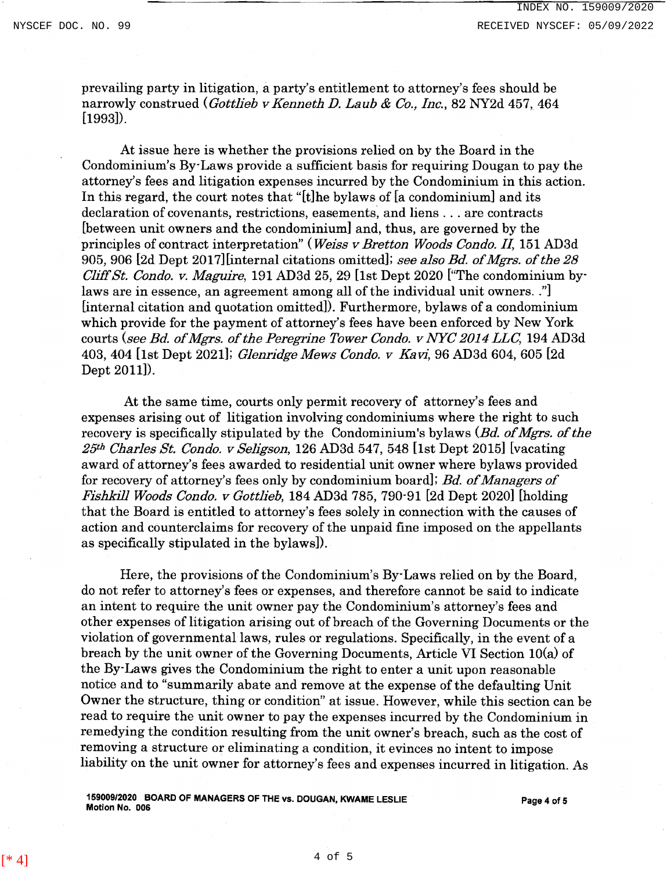prevailing party in litigation, a party's entitlement to attorney's fees should be narrowly construed *(Gottlieb v Kenneth D. Laub* & *Co., Inc.,* 82 NY2d 457, 464 [1993]).

At issue here is whether the provisions relied on by the Board in the Condominium's By-Laws provide a sufficient basis for requiring Dougan to pay the attorney's fees and litigation expenses incurred by the Condominium in this action. In this regard, the court notes that "[t]he bylaws of [a condominium] and its declaration of covenants, restrictions, easements, and liens . . . are contracts [between unit owners and the condominium] and, thus, are governed by the principles of contract interpretation" *(Weiss v Bretton Woods Condo. II,* 151 AD3d 905, 906 [2d Dept 2017][internal citations omitted]; *see also Bd. of Mgrs. of the 28 Cliff St. Condo. v. Maguire,* 191 AD3d 25, 29 [1st Dept 2020 ["The condominium bylaws are in essence, an agreement among all of the individual unit owners .. "] [internal citation and quotation omitted]). Furthermore, bylaws of a condominium which provide for the payment of attorney's fees have been enforced by New York courts *(see Bd. of Mgrs. of the Peregrine Tower Condo. v NYC 2014 LLC,* 194 AD3d 403, 404 [1st Dept 2021]; *Glenridge Mews Condo. v Ka* vi, 96 AD3d 604, 605 [2d Dept 2011]).

At the same time, courts only permit recovery of attorney's fees and expenses arising out of litigation involving condominiums where the right to such recovery is specifically stipulated by the Condominium's bylaws *(Bd. of Mgrs. of the 25th Charles St. Condo. v Seligson,* 126 AD3d 547, 548 [1st Dept 2015] [vacating award of attorney's fees awarded to residential unit owner where bylaws provided for recovery of attorney's fees only by condominium board]; *Bd. of Managers of Fishkill Woods Condo. v Gottlieb,* 184 AD3d 785, 790-91 [2d Dept 2020] [holding that the Board is entitled to attorney's fees solely in connection with the causes of action and counterclaims for recovery of the unpaid fine imposed on the appellants as specifically stipulated in the bylaws]).

Here, the provisions of the Condominium's By-Laws relied on by the Board, do not refer to attorney's fees or expenses, and therefore cannot be said to indicate an intent to require the unit owner pay the Condominium's attorney's fees and other expenses of litigation arising out of breach of the Governing Documents or the violation of governmental laws, rules or regulations. Specifically, in the event of a breach by the unit owner of the Governing Documents, Article VI Section lO(a) of the By-Laws gives the Condominium the right to enter a unit upon reasonable notice and to "summarily abate and remove at the expense of the defaulting Unit Owner the structure, thing or condition'' at issue. However, while this section can be read to require the unit owner to pay the expenses incurred by the Condominium in remedying the condition resulting from the unit owner's breach, such as the cost of removing a structure or eliminating a condition, it evinces no intent to impose liability on the unit owner for attorney's fees and expenses incurred in litigation. As

159009/2020 BOARD OF MANAGERS OF THE vs. DOUGAN, KWAME LESLIE Page 4 of 5<br>Motion No. 006